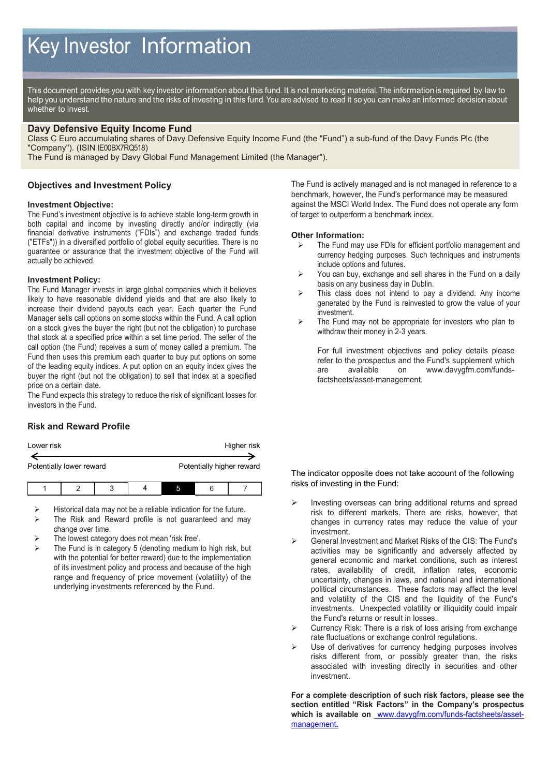This document provides you with key investor information about this fund. It is not marketing material. The information is required by law to help you understand the nature and the risks of investing in this fund. You are advised to read it so you can make an informed decision about whether to invest.

### **Davy Defensive Equity Income Fund**

Class C Euro accumulating shares of Davy Defensive Equity Income Fund (the "Fund") a sub-fund of the Davy Funds Plc (the "Company"). (ISIN IE00BX7RQ518)

The Fund is managed by Davy Global Fund Management Limited (the Manager").

### **Objectives and Investment Policy**

#### **Investment Objective:**

The Fund's investment objective is to achieve stable long-term growth in both capital and income by investing directly and/or indirectly (via financial derivative instruments ("FDIs") and exchange traded funds ("ETFs")) in a diversified portfolio of global equity securities. There is no guarantee or assurance that the investment objective of the Fund will actually be achieved.

#### **Investment Policy:**

The Fund Manager invests in large global companies which it believes likely to have reasonable dividend yields and that are also likely to increase their dividend payouts each year. Each quarter the Fund Manager sells call options on some stocks within the Fund. A call option on a stock gives the buyer the right (but not the obligation) to purchase that stock at a specified price within a set time period. The seller of the call option (the Fund) receives a sum of money called a premium. The Fund then uses this premium each quarter to buy put options on some of the leading equity indices. A put option on an equity index gives the buyer the right (but not the obligation) to sell that index at a specified price on a certain date.

The Fund expects this strategy to reduce the risk of significant losses for investors in the Fund.

# **Risk and Reward Profile**

| Lower risk               |  |  |  |                           |  | Higher risk |
|--------------------------|--|--|--|---------------------------|--|-------------|
|                          |  |  |  |                           |  |             |
| Potentially lower reward |  |  |  | Potentially higher reward |  |             |
|                          |  |  |  |                           |  |             |
|                          |  |  |  |                           |  |             |

- Historical data may not be a reliable indication for the future.
- The Risk and Reward profile is not guaranteed and may change over time.
- The lowest category does not mean 'risk free'.
- The Fund is in category 5 (denoting medium to high risk, but with the potential for better reward) due to the implementation of its investment policy and process and because of the high range and frequency of price movement (volatility) of the underlying investments referenced by the Fund.

The Fund is actively managed and is not managed in reference to a benchmark, however, the Fund's performance may be measured against the MSCI World Index. The Fund does not operate any form of target to outperform a benchmark index.

#### **Other Information:**

- The Fund may use FDIs for efficient portfolio management and currency hedging purposes. Such techniques and instruments include options and futures.
- $\triangleright$  You can buy, exchange and sell shares in the Fund on a daily basis on any business day in Dublin.
- This class does not intend to pay a dividend. Any income generated by the Fund is reinvested to grow the value of your investment.
- $\triangleright$  The Fund may not be appropriate for investors who plan to withdraw their money in 2-3 years.

For full investment objectives and policy details please refer to the prospectus and the Fund's supplement which are available on www.davygfm.com/fundsfactsheets/asset-management.

The indicator opposite does not take account of the following risks of investing in the Fund:

- $\triangleright$  Investing overseas can bring additional returns and spread risk to different markets. There are risks, however, that changes in currency rates may reduce the value of your investment.
- General Investment and Market Risks of the CIS: The Fund's activities may be significantly and adversely affected by general economic and market conditions, such as interest rates, availability of credit, inflation rates, economic uncertainty, changes in laws, and national and international political circumstances. These factors may affect the level and volatility of the CIS and the liquidity of the Fund's investments. Unexpected volatility or illiquidity could impair the Fund's returns or result in losses.
- Currency Risk: There is a risk of loss arising from exchange rate fluctuations or exchange control regulations.
- Use of derivatives for currency hedging purposes involves risks different from, or possibly greater than, the risks associated with investing directly in securities and other investment.

**For a complete description of such risk factors, please see the section entitled "Risk Factors" in the Company's prospectus**  which is available on **www.davygfm.com/funds-factsheets/asset**management**.**